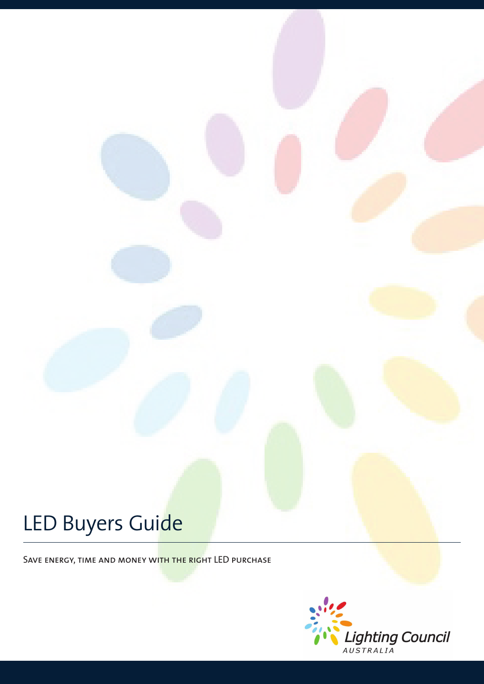# LED Buyers Guide

SAVE ENERGY, TIME AND MONEY WITH THE RIGHT LED PURCHASE

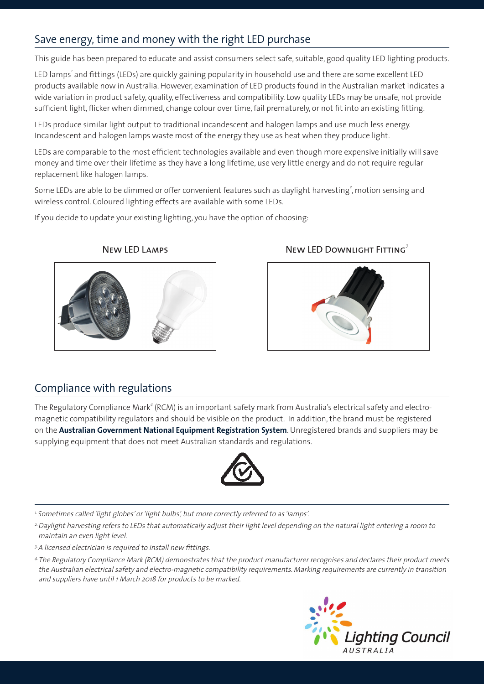# Save energy, time and money with the right LED purchase

This guide has been prepared to educate and assist consumers select safe, suitable, good quality LED lighting products.

LED lamps' and fittings (LEDs) are quickly gaining popularity in household use and there are some excellent LED products available now in Australia. However, examination of LED products found in the Australian market indicates a wide variation in product safety, quality, effectiveness and compatibility. Low quality LEDs may be unsafe, not provide sufficient light, flicker when dimmed, change colour over time, fail prematurely, or not fit into an existing fitting.

LEDs produce similar light output to traditional incandescent and halogen lamps and use much less energy. Incandescent and halogen lamps waste most of the energy they use as heat when they produce light.

LEDs are comparable to the most efficient technologies available and even though more expensive initially will save money and time over their lifetime as they have a long lifetime, use very little energy and do not require regular replacement like halogen lamps.

Some LEDs are able to be dimmed or offer convenient features such as daylight harvesting $^2$ , motion sensing and wireless control. Coloured lighting effects are available with some LEDs.

If you decide to update your existing lighting, you have the option of choosing:



#### New LED Lamps New LED Downlight Fitting<sup>3</sup>



### Compliance with regulations

The Regulatory Compliance Mark $^4$  (RCM) is an important safety mark from Australia's electrical safety and electromagnetic compatibility regulators and should be visible on the product. In addition, the brand must be registered on the **Australian Government National Equipment Registration System**. Unregistered brands and suppliers may be supplying equipment that does not meet Australian standards and regulations.



<sup>1.</sup> Sometimes called 'light globes' or 'light bulbs', but more correctly referred to as 'lamps'.

<sup>2</sup> Daylight harvesting refers to LEDs that automatically adjust their light level depending on the natural light entering a room to maintain an even light level.

- <sup>3</sup> A licensed electrician is required to install new fittings.
- 4. The Regulatory Compliance Mark (RCM) demonstrates that the product manufacturer recognises and declares their product meets the Australian electrical safety and electro-magnetic compatibility requirements. Marking requirements are currently in transition and suppliers have until 1 March 2018 for products to be marked.

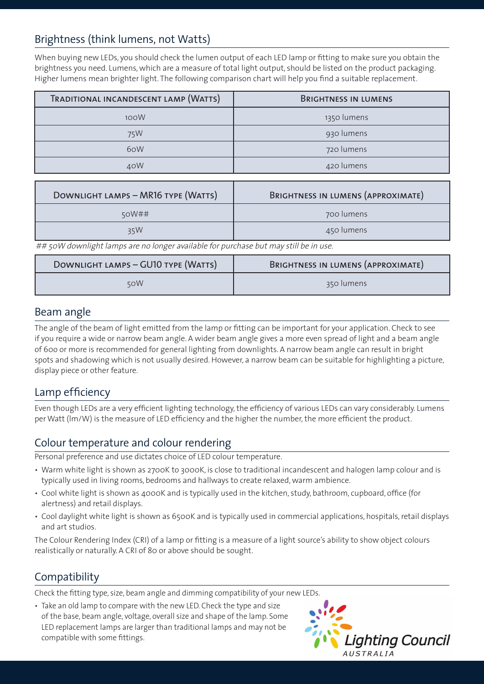# Brightness (think lumens, not Watts)

When buying new LEDs, you should check the lumen output of each LED lamp or fitting to make sure you obtain the brightness you need. Lumens, which are a measure of total light output, should be listed on the product packaging. Higher lumens mean brighter light. The following comparison chart will help you find a suitable replacement.

| TRADITIONAL INCANDESCENT LAMP (WATTS) | <b>BRIGHTNESS IN LUMENS</b> |
|---------------------------------------|-----------------------------|
| 100W                                  | 1350 lumens                 |
| 75W                                   | 930 lumens                  |
| 6oW                                   | 720 lumens                  |
| 40W                                   | 420 lumens                  |

| DOWNLIGHT LAMPS - MR16 TYPE (WATTS) | BRIGHTNESS IN LUMENS (APPROXIMATE) |
|-------------------------------------|------------------------------------|
| 50W##                               | 700 lumens                         |
| 35W                                 | 450 lumens                         |

## 50W downlight lamps are no longer available for purchase but may still be in use.

| DOWNLIGHT LAMPS - GUIO TYPE (WATTS) | BRIGHTNESS IN LUMENS (APPROXIMATE) |
|-------------------------------------|------------------------------------|
| 50W                                 | 350 lumens                         |

### Beam angle

The angle of the beam of light emitted from the lamp or fitting can be important for your application. Check to see if you require a wide or narrow beam angle. A wider beam angle gives a more even spread of light and a beam angle of 60o or more is recommended for general lighting from downlights. A narrow beam angle can result in bright spots and shadowing which is not usually desired. However, a narrow beam can be suitable for highlighting a picture, display piece or other feature.

## Lamp efficiency

Even though LEDs are a very efficient lighting technology, the efficiency of various LEDs can vary considerably. Lumens per Watt (lm/W) is the measure of LED efficiency and the higher the number, the more efficient the product.

## Colour temperature and colour rendering

Personal preference and use dictates choice of LED colour temperature.

- Warm white light is shown as 2700K to 3000K, is close to traditional incandescent and halogen lamp colour and is typically used in living rooms, bedrooms and hallways to create relaxed, warm ambience.
- Cool white light is shown as 4000K and is typically used in the kitchen, study, bathroom, cupboard, office (for alertness) and retail displays.
- Cool daylight white light is shown as 6500K and is typically used in commercial applications, hospitals, retail displays and art studios.

The Colour Rendering Index (CRI) of a lamp or fitting is a measure of a light source's ability to show object colours realistically or naturally. A CRI of 80 or above should be sought.

## **Compatibility**

Check the fitting type, size, beam angle and dimming compatibility of your new LEDs.

• Take an old lamp to compare with the new LED. Check the type and size of the base, beam angle, voltage, overall size and shape of the lamp. Some LED replacement lamps are larger than traditional lamps and may not be compatible with some fittings.

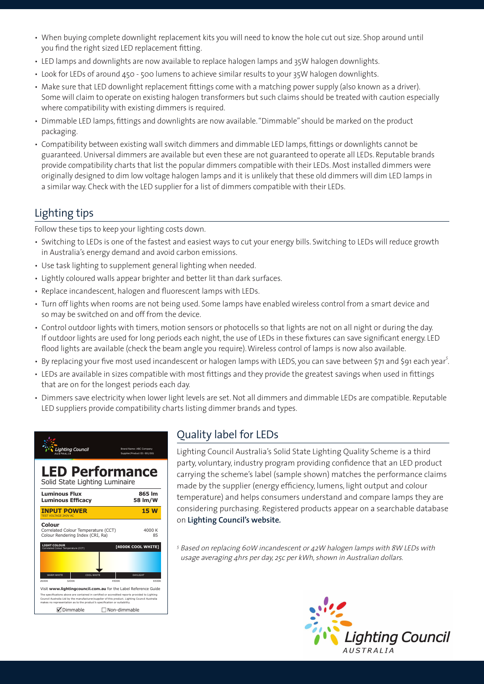- When buying complete downlight replacement kits you will need to know the hole cut out size. Shop around until you find the right sized LED replacement fitting.
- LED lamps and downlights are now available to replace halogen lamps and 35W halogen downlights.
- Look for LEDs of around 450 500 lumens to achieve similar results to your 35W halogen downlights.
- Make sure that LED downlight replacement fittings come with a matching power supply (also known as a driver). Some will claim to operate on existing halogen transformers but such claims should be treated with caution especially where compatibility with existing dimmers is required.
- Dimmable LED lamps, fittings and downlights are now available. "Dimmable" should be marked on the product packaging.
- Compatibility between existing wall switch dimmers and dimmable LED lamps, fittings or downlights cannot be guaranteed. Universal dimmers are available but even these are not guaranteed to operate all LEDs. Reputable brands provide compatibility charts that list the popular dimmers compatible with their LEDs. Most installed dimmers were originally designed to dim low voltage halogen lamps and it is unlikely that these old dimmers will dim LED lamps in a similar way. Check with the LED supplier for a list of dimmers compatible with their LEDs.

# Lighting tips

Follow these tips to keep your lighting costs down.

- Switching to LEDs is one of the fastest and easiest ways to cut your energy bills. Switching to LEDs will reduce growth in Australia's energy demand and avoid carbon emissions.
- Use task lighting to supplement general lighting when needed.
- Lightly coloured walls appear brighter and better lit than dark surfaces.
- Replace incandescent, halogen and fluorescent lamps with LEDs.
- Turn off lights when rooms are not being used. Some lamps have enabled wireless control from a smart device and so may be switched on and off from the device.
- Control outdoor lights with timers, motion sensors or photocells so that lights are not on all night or during the day. If outdoor lights are used for long periods each night, the use of LEDs in these fixtures can save significant energy. LED flood lights are available (check the beam angle you require). Wireless control of lamps is now also available.
- By replacing your five most used incandescent or halogen lamps with LEDS, you can save between \$71 and \$91 each year<sup>5</sup>.
- LEDs are available in sizes compatible with most fittings and they provide the greatest savings when used in fittings that are on for the longest periods each day.
- Dimmers save electricity when lower light levels are set. Not all dimmers and dimmable LEDs are compatible. Reputable LED suppliers provide compatibility charts listing dimmer brands and types.



# Quality label for LEDs

Lighting Council Australia's Solid State Lighting Quality Scheme is a third party, voluntary, industry program providing confidence that an LED product carrying the scheme's label (sample shown) matches the performance claims made by the supplier (energy efficiency, lumens, light output and colour temperature) and helps consumers understand and compare lamps they are considering purchasing. Registered products appear on a searchable database on **Lighting Council's website***.* 

<sup>5</sup> Based on replacing 60W incandescent or 42W halogen lamps with 8W LEDs with usage averaging 4hrs per day, 25c per kWh, shown in Australian dollars.

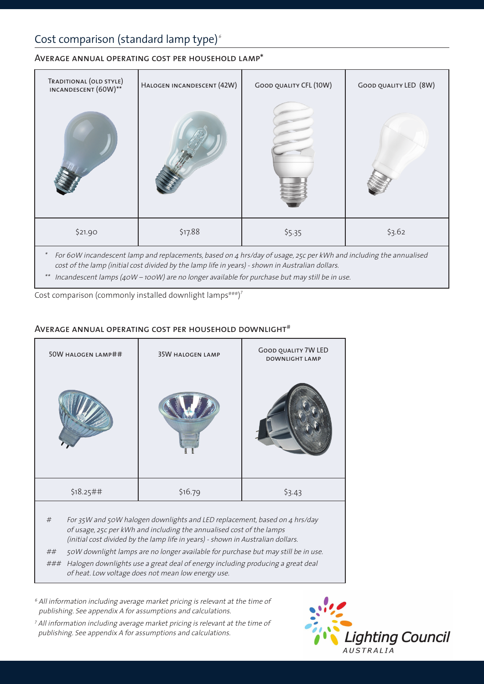# Cost comparison (standard lamp type) $\epsilon$

#### Average annual operating cost per household lamp\*



cost of the lamp (initial cost divided by the lamp life in years) - shown in Australian dollars.

\*\* Incandescent lamps (40W – 100W) are no longer available for purchase but may still be in use.

Cost comparison (commonly installed downlight lamps $\texttt{***}$ )<sup>7</sup>

#### AVERAGE ANNUAL OPERATING COST PER HOUSEHOLD DOWNLIGHT#

| 50W HALOGEN LAMP## | <b>35W HALOGEN LAMP</b> | <b>GOOD QUALITY 7W LED</b><br><b>DOWNLIGHT LAMP</b> |
|--------------------|-------------------------|-----------------------------------------------------|
|                    |                         |                                                     |
| \$18.25##          | \$16.79                 | \$3.43                                              |
|                    |                         |                                                     |

# For 35W and 50W halogen downlights and LED replacement, based on 4 hrs/day of usage, 25c per kWh and including the annualised cost of the lamps (initial cost divided by the lamp life in years) - shown in Australian dollars.

## 50W downlight lamps are no longer available for purchase but may still be in use.

### Halogen downlights use a great deal of energy including producing a great deal of heat. Low voltage does not mean low energy use.

<sup>6</sup> All information including average market pricing is relevant at the time of publishing. See appendix A for assumptions and calculations.

<sup>7</sup> All information including average market pricing is relevant at the time of publishing. See appendix A for assumptions and calculations.

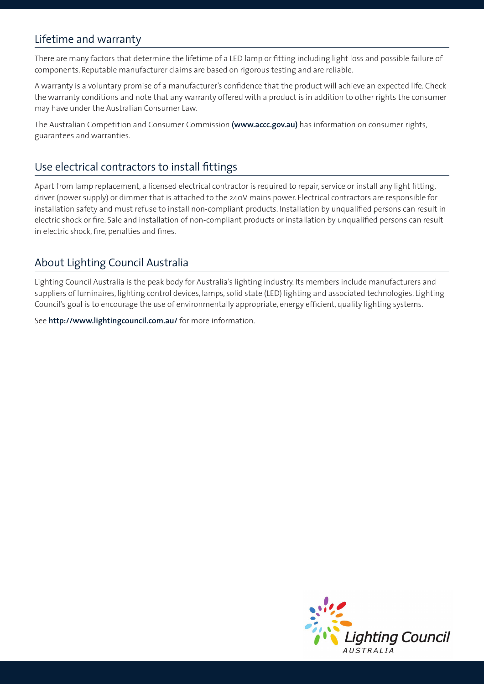## Lifetime and warranty

There are many factors that determine the lifetime of a LED lamp or fitting including light loss and possible failure of components. Reputable manufacturer claims are based on rigorous testing and are reliable.

A warranty is a voluntary promise of a manufacturer's confidence that the product will achieve an expected life. Check the warranty conditions and note that any warranty offered with a product is in addition to other rights the consumer may have under the Australian Consumer Law.

The Australian Competition and Consumer Commission **(www.accc.gov.au)** has information on consumer rights, guarantees and warranties.

## Use electrical contractors to install fittings

Apart from lamp replacement, a licensed electrical contractor is required to repair, service or install any light fitting, driver (power supply) or dimmer that is attached to the 240V mains power. Electrical contractors are responsible for installation safety and must refuse to install non-compliant products. Installation by unqualified persons can result in electric shock or fire. Sale and installation of non-compliant products or installation by unqualified persons can result in electric shock, fire, penalties and fines.

## About Lighting Council Australia

Lighting Council Australia is the peak body for Australia's lighting industry. Its members include manufacturers and suppliers of luminaires, lighting control devices, lamps, solid state (LED) lighting and associated technologies. Lighting Council's goal is to encourage the use of environmentally appropriate, energy efficient, quality lighting systems.

See **http://www.lightingcouncil.com.au/** for more information.